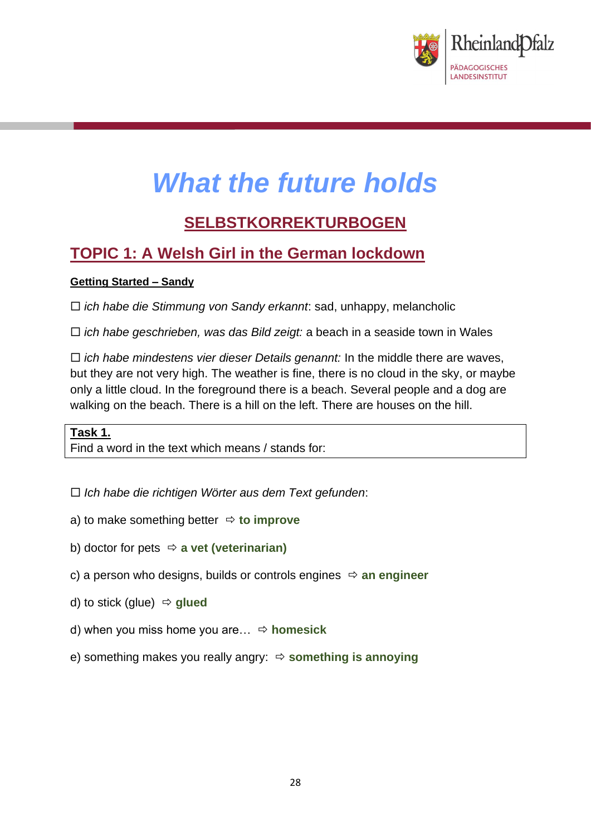

# *What the future holds*

# **SELBSTKORREKTURBOGEN**

# **TOPIC 1: A Welsh Girl in the German lockdown**

## **Getting Started – Sandy**

*ich habe die Stimmung von Sandy erkannt*: sad, unhappy, melancholic

*ich habe geschrieben, was das Bild zeigt:* a beach in a seaside town in Wales

 *ich habe mindestens vier dieser Details genannt:* In the middle there are waves, but they are not very high. The weather is fine, there is no cloud in the sky, or maybe only a little cloud. In the foreground there is a beach. Several people and a dog are walking on the beach. There is a hill on the left. There are houses on the hill.

**Task 1.** Find a word in the text which means / stands for:

*Ich habe die richtigen Wörter aus dem Text gefunden*:

- a) to make something better  $\Rightarrow$  to improve
- b) doctor for pets **a vet (veterinarian)**
- c) a person who designs, builds or controls engines  $\Rightarrow$  an engineer
- d) to stick (glue) **glued**
- d) when you miss home you are… **homesick**
- e) something makes you really angry: **something is annoying**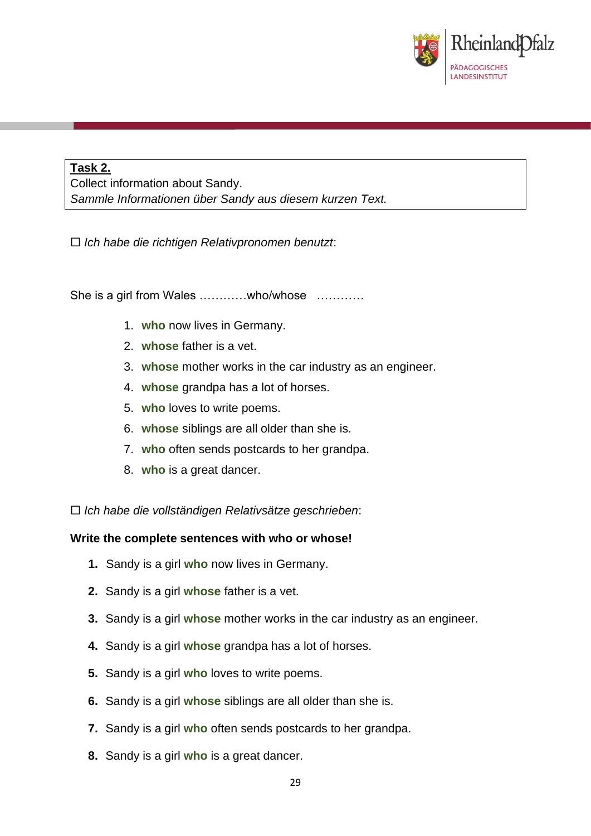

# **Task 2.**

Collect information about Sandy. *Sammle Informationen über Sandy aus diesem kurzen Text.*

*Ich habe die richtigen Relativpronomen benutzt*:

She is a girl from Wales …………who/whose …………

- 1. **who** now lives in Germany.
- 2. **whose** father is a vet.
- 3. **whose** mother works in the car industry as an engineer.
- 4. **whose** grandpa has a lot of horses.
- 5. **who** loves to write poems.
- 6. **whose** siblings are all older than she is.
- 7. **who** often sends postcards to her grandpa.
- 8. **who** is a great dancer.

*Ich habe die vollständigen Relativsätze geschrieben*:

#### **Write the complete sentences with who or whose!**

- **1.** Sandy is a girl **who** now lives in Germany.
- **2.** Sandy is a girl **whose** father is a vet.
- **3.** Sandy is a girl **whose** mother works in the car industry as an engineer.
- **4.** Sandy is a girl **whose** grandpa has a lot of horses.
- **5.** Sandy is a girl **who** loves to write poems.
- **6.** Sandy is a girl **whose** siblings are all older than she is.
- **7.** Sandy is a girl **who** often sends postcards to her grandpa.
- **8.** Sandy is a girl **who** is a great dancer.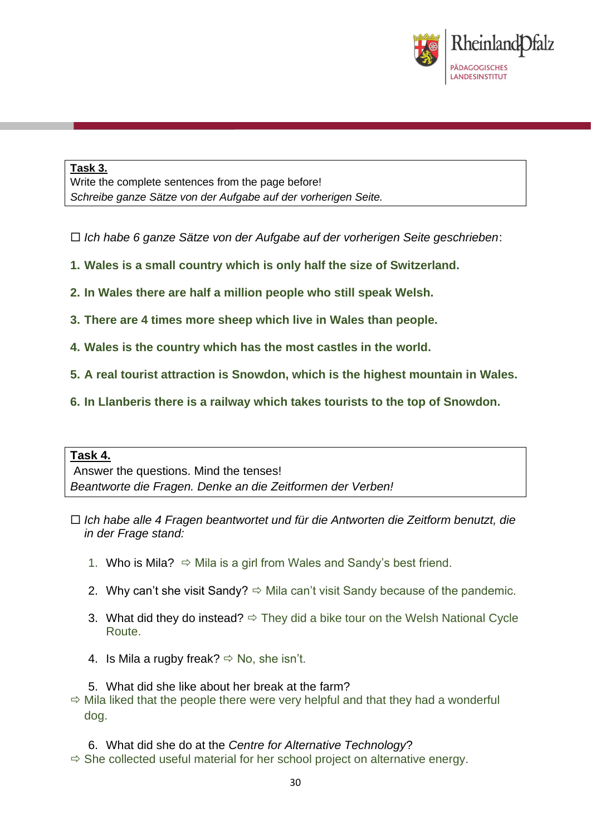

#### **Task 3.**

Write the complete sentences from the page before! *Schreibe ganze Sätze von der Aufgabe auf der vorherigen Seite.*

- *Ich habe 6 ganze Sätze von der Aufgabe auf der vorherigen Seite geschrieben*:
- **1. Wales is a small country which is only half the size of Switzerland.**
- **2. In Wales there are half a million people who still speak Welsh.**
- **3. There are 4 times more sheep which live in Wales than people.**
- **4. Wales is the country which has the most castles in the world.**
- **5. A real tourist attraction is Snowdon, which is the highest mountain in Wales.**
- **6. In Llanberis there is a railway which takes tourists to the top of Snowdon.**

#### **Task 4.**

Answer the questions. Mind the tenses! *Beantworte die Fragen. Denke an die Zeitformen der Verben!*

- *Ich habe alle 4 Fragen beantwortet und für die Antworten die Zeitform benutzt, die in der Frage stand:*
	- 1. Who is Mila?  $\Rightarrow$  Mila is a girl from Wales and Sandy's best friend.
	- 2. Why can't she visit Sandy?  $\Rightarrow$  Mila can't visit Sandy because of the pandemic.
	- 3. What did they do instead?  $\Rightarrow$  They did a bike tour on the Welsh National Cycle Route.
	- 4. Is Mila a rugby freak?  $\Rightarrow$  No, she isn't.

5. What did she like about her break at the farm?  $\Rightarrow$  Mila liked that the people there were very helpful and that they had a wonderful dog.

6. What did she do at the *Centre for Alternative Technology*?  $\Rightarrow$  She collected useful material for her school project on alternative energy.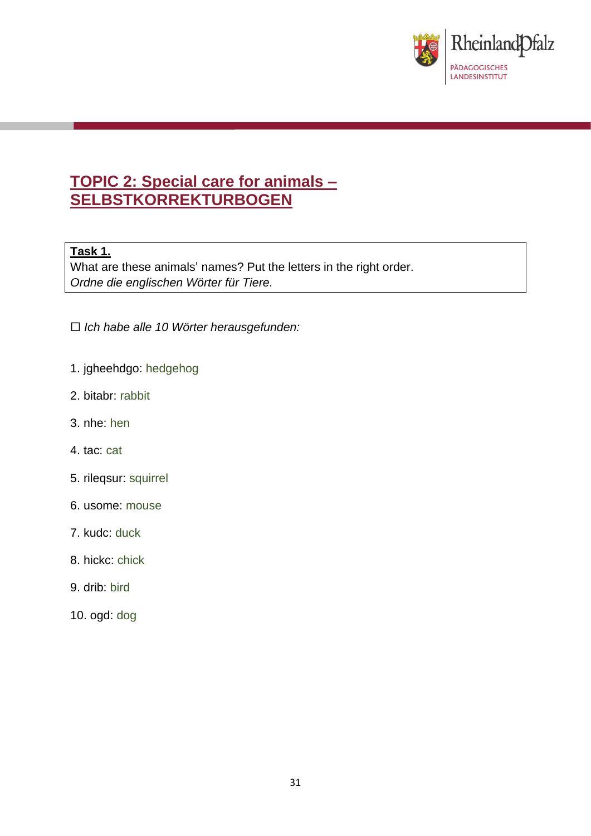

# **TOPIC 2: Special care for animals – SELBSTKORREKTURBOGEN**

### **Task 1.**

What are these animals' names? Put the letters in the right order. *Ordne die englischen Wörter für Tiere.*

- *Ich habe alle 10 Wörter herausgefunden:*
- 1. jgheehdgo: hedgehog
- 2. bitabr: rabbit
- 3. nhe: hen
- 4. tac: cat
- 5. rileqsur: squirrel
- 6. usome: mouse
- 7. kudc: duck
- 8. hickc: chick
- 9. drib: bird
- 10. ogd: dog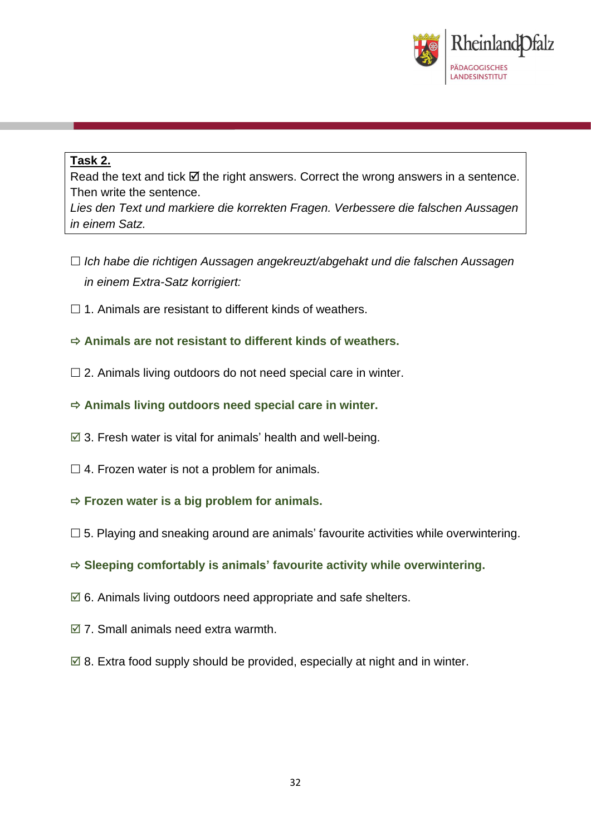

### **Task 2.**

Read the text and tick  $\boxtimes$  the right answers. Correct the wrong answers in a sentence. Then write the sentence.

*Lies den Text und markiere die korrekten Fragen. Verbessere die falschen Aussagen in einem Satz.*

- *Ich habe die richtigen Aussagen angekreuzt/abgehakt und die falschen Aussagen in einem Extra-Satz korrigiert:*
- $\Box$  1. Animals are resistant to different kinds of weathers.

### **Animals are not resistant to different kinds of weathers.**

- $\square$  2. Animals living outdoors do not need special care in winter.
- **Animals living outdoors need special care in winter.**
- $\boxtimes$  3. Fresh water is vital for animals' health and well-being.
- $\Box$  4. Frozen water is not a problem for animals.
- **Frozen water is a big problem for animals.**
- $\Box$  5. Playing and sneaking around are animals' favourite activities while overwintering.
- **Sleeping comfortably is animals' favourite activity while overwintering.**
- $\boxtimes$  6. Animals living outdoors need appropriate and safe shelters.
- $\boxtimes$  7. Small animals need extra warmth.
- $\boxtimes$  8. Extra food supply should be provided, especially at night and in winter.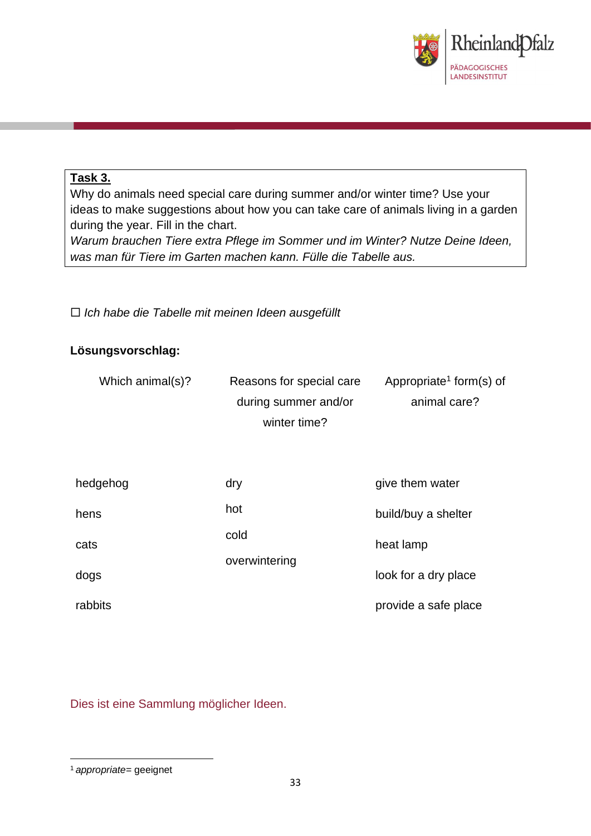

### **Task 3.**

Why do animals need special care during summer and/or winter time? Use your ideas to make suggestions about how you can take care of animals living in a garden during the year. Fill in the chart.

*Warum brauchen Tiere extra Pflege im Sommer und im Winter? Nutze Deine Ideen, was man für Tiere im Garten machen kann. Fülle die Tabelle aus.*

*Ich habe die Tabelle mit meinen Ideen ausgefüllt*

## **Lösungsvorschlag:**

| Which animal(s)? | Reasons for special care | Appropriate <sup>1</sup> form(s) of |  |
|------------------|--------------------------|-------------------------------------|--|
|                  | during summer and/or     | animal care?                        |  |
|                  | winter time?             |                                     |  |
|                  |                          |                                     |  |
|                  |                          |                                     |  |
| hedgehog         | dry                      | give them water                     |  |
| hens             | hot                      | build/buy a shelter                 |  |
| cats             | cold                     | heat lamp                           |  |
|                  | overwintering            |                                     |  |
| dogs             |                          | look for a dry place                |  |
| rabbits          |                          | provide a safe place                |  |

Dies ist eine Sammlung möglicher Ideen.

<sup>1</sup> *appropriate=* geeignet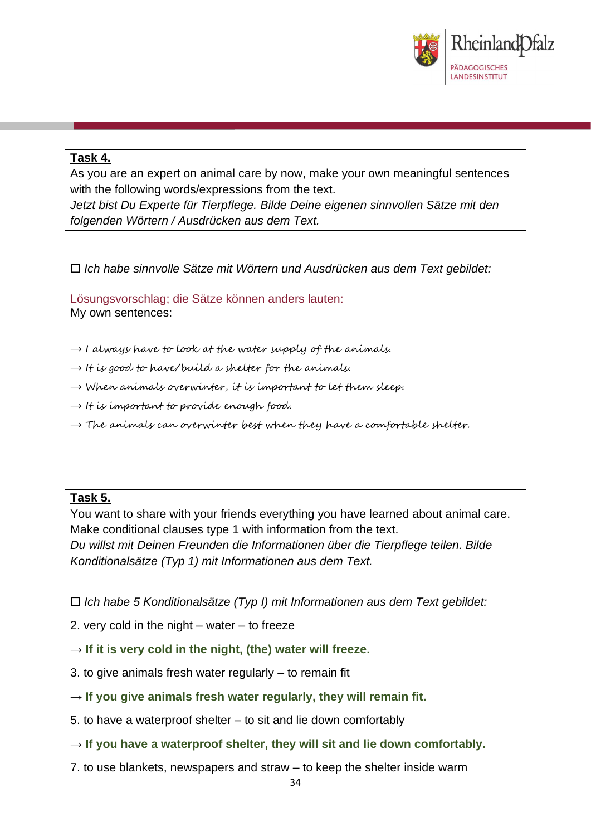

### **Task 4.**

As you are an expert on animal care by now, make your own meaningful sentences with the following words/expressions from the text.

*Jetzt bist Du Experte für Tierpflege. Bilde Deine eigenen sinnvollen Sätze mit den folgenden Wörtern / Ausdrücken aus dem Text.*

*Ich habe sinnvolle Sätze mit Wörtern und Ausdrücken aus dem Text gebildet:*

Lösungsvorschlag; die Sätze können anders lauten: My own sentences:

- $\rightarrow$  I always have to look at the water supply of the animals.
- $\rightarrow$  It is good to have/build a shelter for the animals.
- $\rightarrow$  When animals overwinter, it is important to let them sleep.
- $\rightarrow$  It is important to provide enough food.
- $\rightarrow$  The animals can overwinter best when they have a comfortable shelter.

#### **Task 5.**

You want to share with your friends everything you have learned about animal care. Make conditional clauses type 1 with information from the text. *Du willst mit Deinen Freunden die Informationen über die Tierpflege teilen. Bilde Konditionalsätze (Typ 1) mit Informationen aus dem Text.*

*Ich habe 5 Konditionalsätze (Typ I) mit Informationen aus dem Text gebildet:*

- 2. very cold in the night water to freeze
- $\rightarrow$  If it is very cold in the night, (the) water will freeze.
- 3. to give animals fresh water regularly to remain fit
- $\rightarrow$  If you give animals fresh water regularly, they will remain fit.
- 5. to have a waterproof shelter to sit and lie down comfortably
- $\rightarrow$  If you have a waterproof shelter, they will sit and lie down comfortably.
- 7. to use blankets, newspapers and straw to keep the shelter inside warm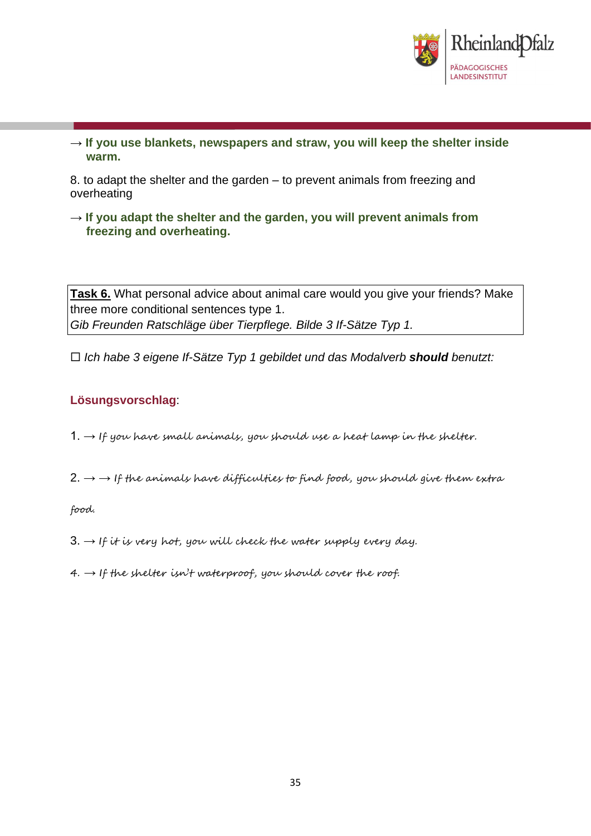

→ **If you use blankets, newspapers and straw, you will keep the shelter inside warm.**

8. to adapt the shelter and the garden – to prevent animals from freezing and overheating

 $\rightarrow$  If you adapt the shelter and the garden, you will prevent animals from **freezing and overheating.**

**Task 6.** What personal advice about animal care would you give your friends? Make three more conditional sentences type 1. *Gib Freunden Ratschläge über Tierpflege. Bilde 3 If-Sätze Typ 1.*

*Ich habe 3 eigene If-Sätze Typ 1 gebildet und das Modalverb should benutzt:*

### **Lösungsvorschlag**:

- $1. \rightarrow$  If you have small animals, you should use a heat lamp in the shelter.
- $2. \rightarrow$  + If the animals have difficulties to find food, you should give them extra

food.

- $3. \rightarrow$  If it is very hot, you will check the water supply every day.
- $4. \rightarrow$  If the shelter isn't waterproof, you should cover the roof.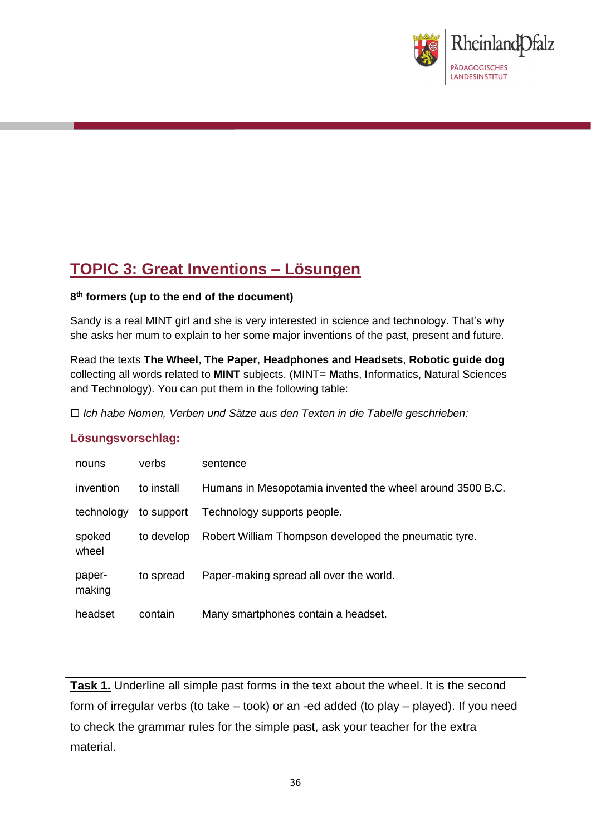

# **TOPIC 3: Great Inventions – Lösungen**

#### **8 th formers (up to the end of the document)**

Sandy is a real MINT girl and she is very interested in science and technology. That's why she asks her mum to explain to her some major inventions of the past, present and future.

Read the texts **The Wheel**, **The Paper**, **Headphones and Headsets**, **Robotic guide dog** collecting all words related to **MINT** subjects. (MINT= **M**aths, **I**nformatics, **N**atural Sciences and **T**echnology). You can put them in the following table:

*Ich habe Nomen, Verben und Sätze aus den Texten in die Tabelle geschrieben:*

#### **Lösungsvorschlag:**

| nouns            | verbs      | sentence                                                  |
|------------------|------------|-----------------------------------------------------------|
| invention        | to install | Humans in Mesopotamia invented the wheel around 3500 B.C. |
| technology       | to support | Technology supports people.                               |
| spoked<br>wheel  | to develop | Robert William Thompson developed the pneumatic tyre.     |
| paper-<br>making | to spread  | Paper-making spread all over the world.                   |
| headset          | contain    | Many smartphones contain a headset.                       |

**Task 1.** Underline all simple past forms in the text about the wheel. It is the second form of irregular verbs (to take – took) or an -ed added (to play – played). If you need to check the grammar rules for the simple past, ask your teacher for the extra material.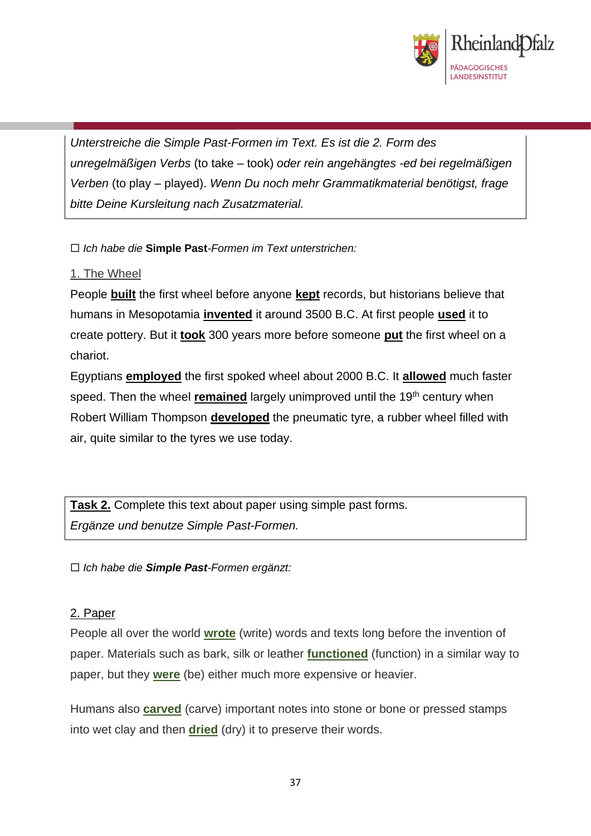

*Unterstreiche die Simple Past-Formen im Text. Es ist die 2. Form des unregelmäßigen Verbs* (to take – took) *oder rein angehängtes -ed bei regelmäßigen Verben* (to play – played). *Wenn Du noch mehr Grammatikmaterial benötigst, frage bitte Deine Kursleitung nach Zusatzmaterial.*

*Ich habe die* **Simple Past***-Formen im Text unterstrichen:*

## 1. The Wheel

People **built** the first wheel before anyone **kept** records, but historians believe that humans in Mesopotamia **invented** it around 3500 B.C. At first people **used** it to create pottery. But it **took** 300 years more before someone **put** the first wheel on a chariot.

Egyptians **employed** the first spoked wheel about 2000 B.C. It **allowed** much faster speed. Then the wheel **remained** largely unimproved until the 19<sup>th</sup> century when Robert William Thompson **developed** the pneumatic tyre, a rubber wheel filled with air, quite similar to the tyres we use today.

**Task 2.** Complete this text about paper using simple past forms. *Ergänze und benutze Simple Past-Formen.*

*Ich habe die Simple Past-Formen ergänzt:*

### 2. Paper

People all over the world **wrote** (write) words and texts long before the invention of paper. Materials such as bark, silk or leather **functioned** (function) in a similar way to paper, but they **were** (be) either much more expensive or heavier.

Humans also **carved** (carve) important notes into stone or bone or pressed stamps into wet clay and then **dried** (dry) it to preserve their words.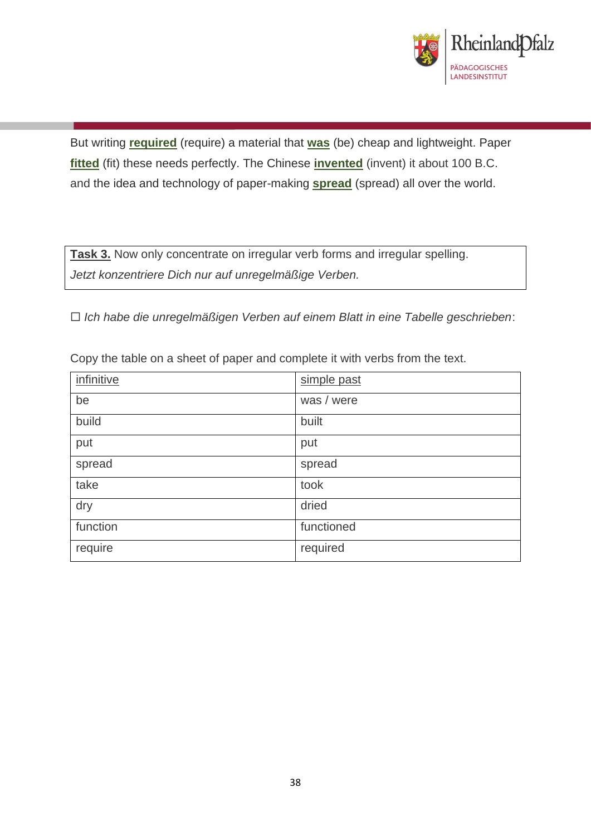

But writing **required** (require) a material that **was** (be) cheap and lightweight. Paper **fitted** (fit) these needs perfectly. The Chinese **invented** (invent) it about 100 B.C. and the idea and technology of paper-making **spread** (spread) all over the world.

**Task 3.** Now only concentrate on irregular verb forms and irregular spelling. *Jetzt konzentriere Dich nur auf unregelmäßige Verben.*

*Ich habe die unregelmäßigen Verben auf einem Blatt in eine Tabelle geschrieben*:

| infinitive | simple past |
|------------|-------------|
| be         | was / were  |
| build      | built       |
| put        | put         |
| spread     | spread      |
| take       | took        |
| dry        | dried       |
| function   | functioned  |
| require    | required    |

Copy the table on a sheet of paper and complete it with verbs from the text.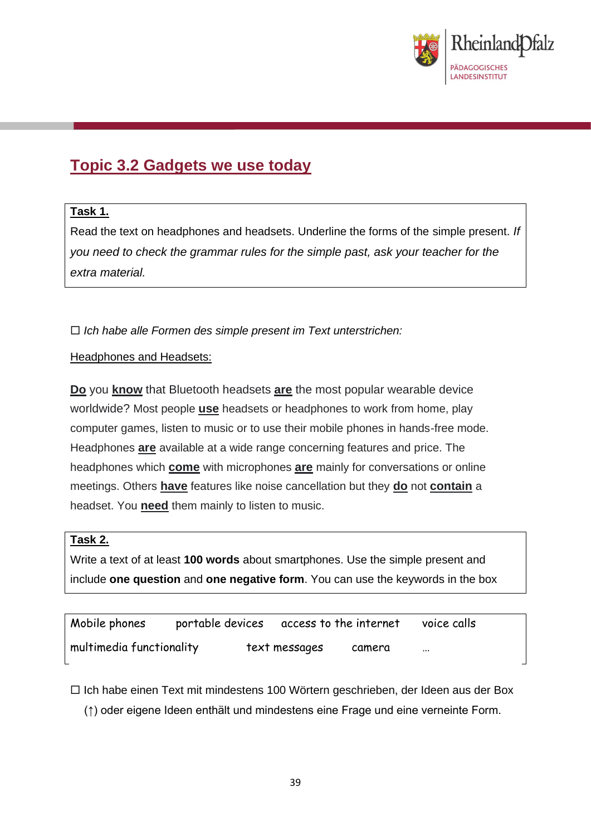

# **Topic 3.2 Gadgets we use today**

### **Task 1.**

Read the text on headphones and headsets. Underline the forms of the simple present. *If you need to check the grammar rules for the simple past, ask your teacher for the extra material.* 

*Ich habe alle Formen des simple present im Text unterstrichen:*

#### Headphones and Headsets:

**Do** you **know** that Bluetooth headsets **are** the most popular wearable device worldwide? Most people **use** headsets or headphones to work from home, play computer games, listen to music or to use their mobile phones in hands-free mode. Headphones **are** available at a wide range concerning features and price. The headphones which **come** with microphones **are** mainly for conversations or online meetings. Others **have** features like noise cancellation but they **do** not **contain** a headset. You **need** them mainly to listen to music.

### **Task 2.**

Write a text of at least **100 words** about smartphones. Use the simple present and include **one question** and **one negative form**. You can use the keywords in the box

| Mobile phones            | portable devices | access to the internet |        | voice calls |
|--------------------------|------------------|------------------------|--------|-------------|
| multimedia functionality |                  | text messages          | camera | $\cdots$    |

 $\Box$  Ich habe einen Text mit mindestens 100 Wörtern geschrieben, der Ideen aus der Box (↑) oder eigene Ideen enthält und mindestens eine Frage und eine verneinte Form.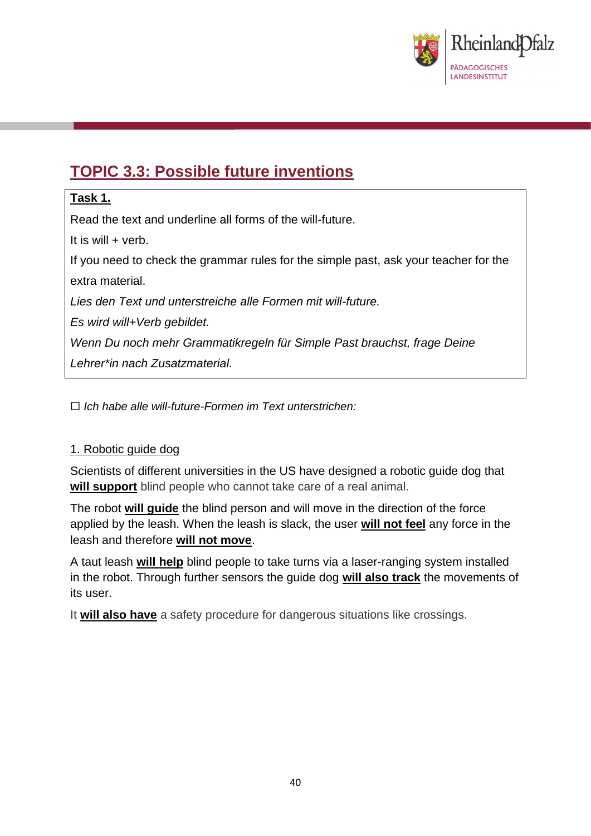

# **TOPIC 3.3: Possible future inventions**

# **Task 1.**

Read the text and underline all forms of the will-future.

It is will + verb.

If you need to check the grammar rules for the simple past, ask your teacher for the extra material.

*Lies den Text und unterstreiche alle Formen mit will-future.*

*Es wird will+Verb gebildet.*

*Wenn Du noch mehr Grammatikregeln für Simple Past brauchst, frage Deine* 

*Lehrer\*in nach Zusatzmaterial.*

*Ich habe alle will-future-Formen im Text unterstrichen:*

# 1. Robotic guide dog

Scientists of different universities in the US have designed a robotic guide dog that **will support** blind people who cannot take care of a real animal.

The robot **will guide** the blind person and will move in the direction of the force applied by the leash. When the leash is slack, the user **will not feel** any force in the leash and therefore **will not move**.

A taut leash **will help** blind people to take turns via a laser-ranging system installed in the robot. Through further sensors the guide dog **will also track** the movements of its user.

It **will also have** a safety procedure for dangerous situations like crossings.